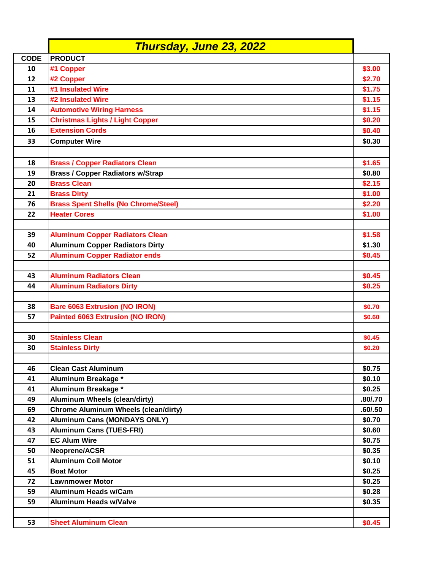|             | Thursday, June 23, 2022                     |         |
|-------------|---------------------------------------------|---------|
| <b>CODE</b> | <b>PRODUCT</b>                              |         |
| 10          | #1 Copper                                   | \$3.00  |
| 12          | #2 Copper                                   | \$2.70  |
| 11          | #1 Insulated Wire                           | \$1.75  |
| 13          | #2 Insulated Wire                           | \$1.15  |
| 14          | <b>Automotive Wiring Harness</b>            | \$1.15  |
| 15          | <b>Christmas Lights / Light Copper</b>      | \$0.20  |
| 16          | <b>Extension Cords</b>                      | \$0.40  |
| 33          | <b>Computer Wire</b>                        | \$0.30  |
|             |                                             |         |
| 18          | <b>Brass / Copper Radiators Clean</b>       | \$1.65  |
| 19          | <b>Brass / Copper Radiators w/Strap</b>     | \$0.80  |
| 20          | <b>Brass Clean</b>                          | \$2.15  |
| 21          | <b>Brass Dirty</b>                          | \$1.00  |
| 76          | <b>Brass Spent Shells (No Chrome/Steel)</b> | \$2.20  |
| 22          | <b>Heater Cores</b>                         | \$1.00  |
|             |                                             |         |
| 39          | <b>Aluminum Copper Radiators Clean</b>      | \$1.58  |
| 40          | <b>Aluminum Copper Radiators Dirty</b>      | \$1.30  |
| 52          | <b>Aluminum Copper Radiator ends</b>        | \$0.45  |
|             |                                             |         |
| 43          | <b>Aluminum Radiators Clean</b>             | \$0.45  |
| 44          | <b>Aluminum Radiators Dirty</b>             | \$0.25  |
|             |                                             |         |
| 38          | <b>Bare 6063 Extrusion (NO IRON)</b>        | \$0.70  |
| 57          | <b>Painted 6063 Extrusion (NO IRON)</b>     | \$0.60  |
|             |                                             |         |
| 30          | <b>Stainless Clean</b>                      | \$0.45  |
| 30          | <b>Stainless Dirty</b>                      | \$0.20  |
|             |                                             |         |
| 46          | <b>Clean Cast Aluminum</b>                  | \$0.75  |
| 41          | Aluminum Breakage *                         | \$0.10  |
| 41          | Aluminum Breakage *                         | \$0.25  |
| 49          | <b>Aluminum Wheels (clean/dirty)</b>        | .80/.70 |
| 69          | <b>Chrome Aluminum Wheels (clean/dirty)</b> | .60/.50 |
| 42          | <b>Aluminum Cans (MONDAYS ONLY)</b>         | \$0.70  |
| 43          | <b>Aluminum Cans (TUES-FRI)</b>             | \$0.60  |
| 47          | <b>EC Alum Wire</b>                         | \$0.75  |
| 50          | Neoprene/ACSR                               | \$0.35  |
| 51          | <b>Aluminum Coil Motor</b>                  | \$0.10  |
| 45          | <b>Boat Motor</b>                           | \$0.25  |
| 72          | <b>Lawnmower Motor</b>                      | \$0.25  |
| 59          | <b>Aluminum Heads w/Cam</b>                 | \$0.28  |
| 59          | <b>Aluminum Heads w/Valve</b>               | \$0.35  |
|             |                                             |         |
| 53          | <b>Sheet Aluminum Clean</b>                 | \$0.45  |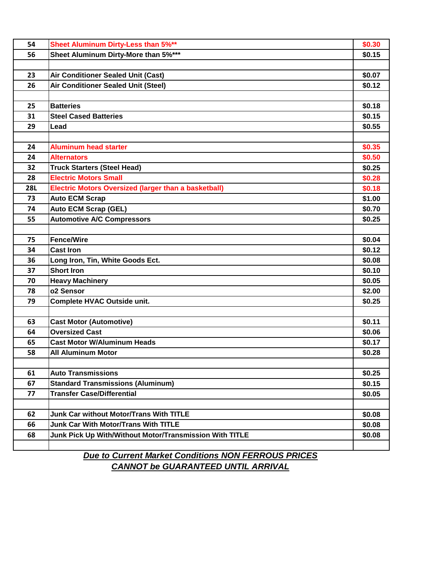| 54         | <b>Sheet Aluminum Dirty-Less than 5%**</b>                  | \$0.30 |
|------------|-------------------------------------------------------------|--------|
| 56         | Sheet Aluminum Dirty-More than 5%***                        | \$0.15 |
|            |                                                             |        |
| 23         | <b>Air Conditioner Sealed Unit (Cast)</b>                   | \$0.07 |
| 26         | <b>Air Conditioner Sealed Unit (Steel)</b>                  | \$0.12 |
|            |                                                             |        |
| 25         | <b>Batteries</b>                                            | \$0.18 |
| 31         | <b>Steel Cased Batteries</b>                                | \$0.15 |
| 29         | Lead                                                        | \$0.55 |
|            |                                                             |        |
| 24         | <b>Aluminum head starter</b>                                | \$0.35 |
| 24         | <b>Alternators</b>                                          | \$0.50 |
| 32         | <b>Truck Starters (Steel Head)</b>                          | \$0.25 |
| 28         | <b>Electric Motors Small</b>                                | \$0.28 |
| <b>28L</b> | <b>Electric Motors Oversized (larger than a basketball)</b> | \$0.18 |
| 73         | <b>Auto ECM Scrap</b>                                       | \$1.00 |
| 74         | <b>Auto ECM Scrap (GEL)</b>                                 | \$0.70 |
| 55         | <b>Automotive A/C Compressors</b>                           | \$0.25 |
|            |                                                             |        |
| 75         | <b>Fence/Wire</b>                                           | \$0.04 |
| 34         | <b>Cast Iron</b>                                            | \$0.12 |
| 36         | Long Iron, Tin, White Goods Ect.                            | \$0.08 |
| 37         | <b>Short Iron</b>                                           | \$0.10 |
| 70         | <b>Heavy Machinery</b>                                      | \$0.05 |
| 78         | o2 Sensor                                                   | \$2.00 |
| 79         | Complete HVAC Outside unit.                                 | \$0.25 |
|            |                                                             |        |
| 63         | <b>Cast Motor (Automotive)</b>                              | \$0.11 |
| 64         | <b>Oversized Cast</b>                                       | \$0.06 |
| 65         | <b>Cast Motor W/Aluminum Heads</b>                          | \$0.17 |
| 58         | <b>All Aluminum Motor</b>                                   | \$0.28 |
|            |                                                             |        |
| 61         | <b>Auto Transmissions</b>                                   | \$0.25 |
| 67         | <b>Standard Transmissions (Aluminum)</b>                    | \$0.15 |
| 77         | <b>Transfer Case/Differential</b>                           | \$0.05 |
|            |                                                             |        |
| 62         | <b>Junk Car without Motor/Trans With TITLE</b>              | \$0.08 |
| 66         | <b>Junk Car With Motor/Trans With TITLE</b>                 | \$0.08 |
| 68         | Junk Pick Up With/Without Motor/Transmission With TITLE     | \$0.08 |
|            |                                                             |        |
|            | <b>Due to Current Mericat Conditions NON EEDDOUS DDICES</b> |        |

*Due to Current Market Conditions NON FERROUS PRICES CANNOT be GUARANTEED UNTIL ARRIVAL*